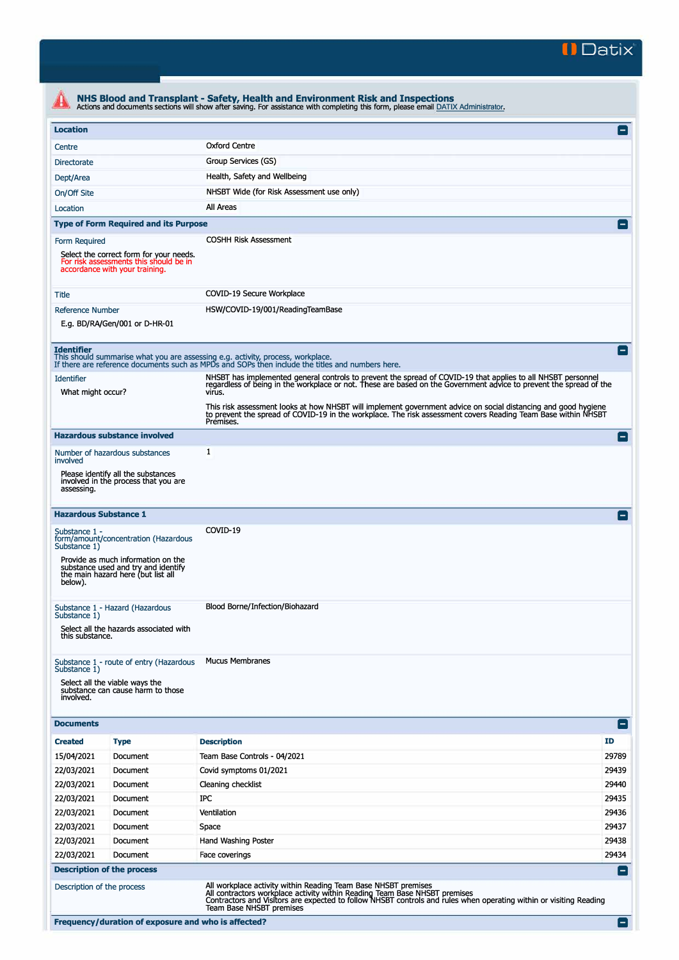

| <b>Location</b>               |                                                                                                                     |                                                                                                                                                                                                                                              | $\vert - \vert$ |
|-------------------------------|---------------------------------------------------------------------------------------------------------------------|----------------------------------------------------------------------------------------------------------------------------------------------------------------------------------------------------------------------------------------------|-----------------|
| Centre                        |                                                                                                                     | <b>Oxford Centre</b>                                                                                                                                                                                                                         |                 |
| <b>Directorate</b>            |                                                                                                                     | Group Services (GS)                                                                                                                                                                                                                          |                 |
| Dept/Area                     |                                                                                                                     | Health, Safety and Wellbeing                                                                                                                                                                                                                 |                 |
| On/Off Site                   |                                                                                                                     | NHSBT Wide (for Risk Assessment use only)                                                                                                                                                                                                    |                 |
| Location                      |                                                                                                                     | All Areas                                                                                                                                                                                                                                    |                 |
|                               | <b>Type of Form Required and its Purpose</b>                                                                        |                                                                                                                                                                                                                                              |                 |
| Form Required                 |                                                                                                                     | <b>COSHH Risk Assessment</b>                                                                                                                                                                                                                 |                 |
|                               | Select the correct form for your needs.<br>For risk assessments this should be in<br>accordance with your training. |                                                                                                                                                                                                                                              |                 |
| Title                         |                                                                                                                     | COVID-19 Secure Workplace                                                                                                                                                                                                                    |                 |
| <b>Reference Number</b>       |                                                                                                                     | HSW/COVID-19/001/ReadingTeamBase                                                                                                                                                                                                             |                 |
|                               | E.g. BD/RA/Gen/001 or D-HR-01                                                                                       |                                                                                                                                                                                                                                              |                 |
| <b>Identifier</b>             |                                                                                                                     | This should summarise what you are assessing e.g. activity, process, workplace.<br>If there are reference documents such as MPDs and SOPs then include the titles and numbers here.                                                          | н.              |
| <b>Identifier</b>             |                                                                                                                     | NHSBT has implemented general controls to prevent the spread of COVID-19 that applies to all NHSBT personnel                                                                                                                                 |                 |
| What might occur?             |                                                                                                                     | regardless of being in the workplace or not. These are based on the Government advice to prevent the spread of the<br>virus.                                                                                                                 |                 |
|                               |                                                                                                                     | This risk assessment looks at how NHSBT will implement government advice on social distancing and good hygiene<br>to prevent the spread of COVID-19 in the workplace. The risk assessment covers Reading Team Base within NHSBT<br>Premises. |                 |
|                               | <b>Hazardous substance involved</b>                                                                                 |                                                                                                                                                                                                                                              | Е               |
| involved                      | Number of hazardous substances                                                                                      | $\mathbf{1}$                                                                                                                                                                                                                                 |                 |
| assessing.                    | Please identify all the substances<br>involved in the process that you are                                          |                                                                                                                                                                                                                                              |                 |
|                               | <b>Hazardous Substance 1</b>                                                                                        |                                                                                                                                                                                                                                              |                 |
| Substance 1 -<br>Substance 1) | form/amount/concentration (Hazardous                                                                                | COVID-19                                                                                                                                                                                                                                     |                 |
| below).                       | Provide as much information on the<br>substance used and try and identify<br>the main hazard here (but list all     |                                                                                                                                                                                                                                              |                 |
| Substance 1)                  | Substance 1 - Hazard (Hazardous                                                                                     | Blood Borne/Infection/Biohazard                                                                                                                                                                                                              |                 |
| this substance.               | Select all the hazards associated with                                                                              |                                                                                                                                                                                                                                              |                 |
| Substance 1)                  | Substance 1 - route of entry (Hazardous                                                                             | <b>Mucus Membranes</b>                                                                                                                                                                                                                       |                 |
| involved.                     | Select all the viable ways the<br>substance can cause harm to those                                                 |                                                                                                                                                                                                                                              |                 |
| <b>Documents</b>              |                                                                                                                     |                                                                                                                                                                                                                                              | -1              |
| <b>Created</b>                | <b>Type</b>                                                                                                         | <b>Description</b>                                                                                                                                                                                                                           | ID              |
| 15/04/2021                    | Document                                                                                                            | Team Base Controls - 04/2021                                                                                                                                                                                                                 | 29789           |
| 22/03/2021                    | Document                                                                                                            | Covid symptoms 01/2021                                                                                                                                                                                                                       | 29439           |
| 22/03/2021                    | Document                                                                                                            | Cleaning checklist                                                                                                                                                                                                                           | 29440           |
| 22/03/2021                    | Document                                                                                                            | IPC                                                                                                                                                                                                                                          | 29435           |
| 22/03/2021                    | Document                                                                                                            | Ventilation                                                                                                                                                                                                                                  | 29436           |
| 22/03/2021                    | Document                                                                                                            | Space                                                                                                                                                                                                                                        | 29437           |
| 22/03/2021                    | Document                                                                                                            | Hand Washing Poster                                                                                                                                                                                                                          | 29438           |
| 22/03/2021                    | Document                                                                                                            | Face coverings                                                                                                                                                                                                                               | 29434           |
|                               | <b>Description of the process</b>                                                                                   |                                                                                                                                                                                                                                              | $\blacksquare$  |
|                               | Description of the process                                                                                          | All workplace activity within Reading Team Base NHSBT premises<br>All contractors workplace activity within Reading Team Base NHSBT premises                                                                                                 |                 |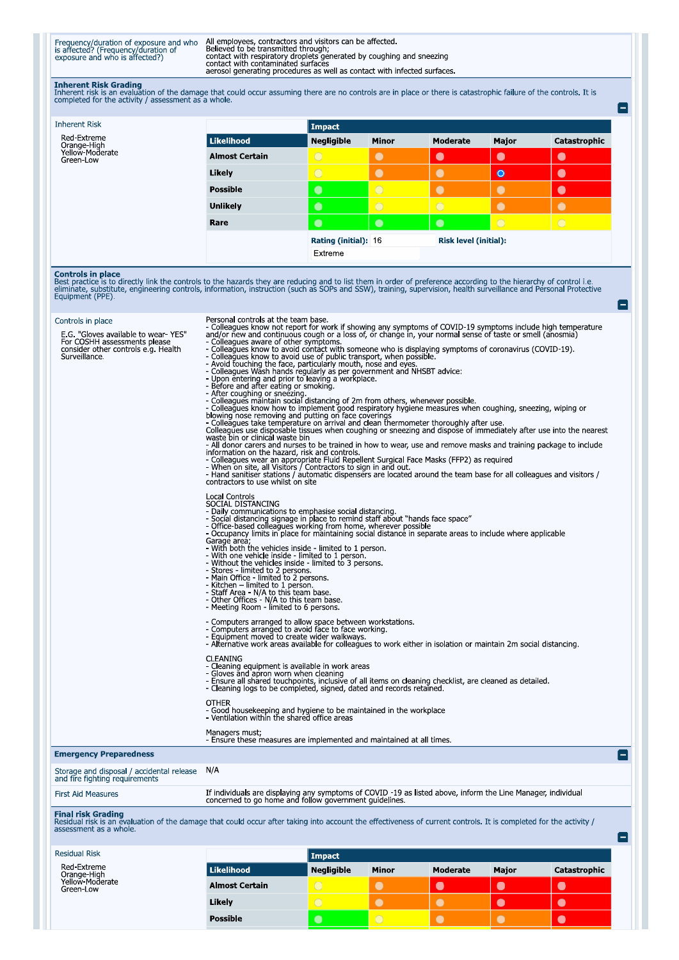Frequency/duration of exposure and who<br>is affected? (Frequency/duration of<br>exposure and who is affected?)

All employees, contractors and visitors can be affected.<br>Believed to be transmitted through;<br>contact with respiratory droplets generated by coughing and sneezing<br>contact with contaminated surfaces<br>aerosol generating proced

**Inherent Risk Grading**<br>Inherent risk is an evaluation of the damage that could occur assuming there are no controls are in place or there is catastrophic failure of the controls. It is<br>completed for the activity / assessm

e

A

 $\blacksquare$ 

| <b>Inherent Risk</b>                        |                       | Impact               |                |                              |                |              |  |
|---------------------------------------------|-----------------------|----------------------|----------------|------------------------------|----------------|--------------|--|
| Red-Extreme                                 | Likelihood            | <b>Negligible</b>    | <b>Minor</b>   | Moderate                     | Major          | Catastrophic |  |
| Orange-High<br>Yellow-Moderate<br>Green-Low | <b>Almost Certain</b> | $\circ$              | $\bullet$      | $\bullet$                    | $\bullet$      | $\bullet$    |  |
|                                             | Likely                | $\overline{O}$       | $\bullet$      | $\bullet$                    | $\bullet$      | $\bullet$    |  |
|                                             | <b>Possible</b>       | $\bullet$            | $\circ$        | $\bullet$                    |                | $\bullet$    |  |
|                                             | <b>Unlikely</b>       | $\bullet$            | $\overline{O}$ | $\bigcirc$                   |                | $\bullet$    |  |
|                                             | Rare                  | $\bullet$            | $\bullet$      | $\bullet$                    | $\overline{O}$ | $\bigcirc$   |  |
|                                             |                       | Rating (initial): 16 |                | <b>Risk level (initial):</b> |                |              |  |
|                                             |                       | Extreme              |                |                              |                |              |  |

**Controls in place**<br>Best practice is to directly link the controls to the hazards they are reducing and to list them in order of preference according to the hierarchy of control i.e.<br>eliminate, substitute, engineering cont

| Controls in place                                                                                                           | Personal controls at the team base.                                                                                                                                                                                                                                                                                                                                                                                                                                                                                                                                                                                                                                                                                                                                                                                                                                                                                                                                                                                                                                                                                                                                                                                                                                      |  |  |  |  |
|-----------------------------------------------------------------------------------------------------------------------------|--------------------------------------------------------------------------------------------------------------------------------------------------------------------------------------------------------------------------------------------------------------------------------------------------------------------------------------------------------------------------------------------------------------------------------------------------------------------------------------------------------------------------------------------------------------------------------------------------------------------------------------------------------------------------------------------------------------------------------------------------------------------------------------------------------------------------------------------------------------------------------------------------------------------------------------------------------------------------------------------------------------------------------------------------------------------------------------------------------------------------------------------------------------------------------------------------------------------------------------------------------------------------|--|--|--|--|
| E.G. "Gloves available to wear-YES"<br>For COSHH assessments please<br>consider other controls e.g. Health<br>Surveillance. | - Colleagues know not report for work if showing any symptoms of COVID-19 symptoms include high temperature<br>and/or new and continuous cough or a loss of, or change in, your normal sense of taste or smell (anosmia)<br>- Colleagues aware of other symptoms.<br>- Colleagues know to avoid contact with someone who is displaying symptoms of coronavirus (COVID-19).<br>- Colleagues know to avoid use of public transport, when possible.<br>- Avoid fouching the face, particularly mouth, nose and eyes.<br>- Colleagues Wash hands regularly as per government and NHSBT advice:<br>- Upon entering and prior to leaving a workplace.<br>- Before and after eating or smoking.<br>- After coughing or sneezing.<br>- Colleagues maintain social distancing of 2m from others, whenever possible.<br>- Colleagues maintain social distancing of 2m from others, whenever possible.<br>- Colleagues know how to implement good respiratory hygiene measur<br>blowing nose removing and putting on face coverings<br>- Colleagues take temperature on arrival and clean thermometer thoroughly after use.<br>Colleagues use disposable tissues when coughing or sneezing and dispose of immediately after use into the nearest<br>waste bin or clinical waste bin |  |  |  |  |
|                                                                                                                             | - All donor carers and nurses to be trained in how to wear, use and remove masks and training package to include<br>information on the hazard, risk and controls.                                                                                                                                                                                                                                                                                                                                                                                                                                                                                                                                                                                                                                                                                                                                                                                                                                                                                                                                                                                                                                                                                                        |  |  |  |  |
|                                                                                                                             | - Colleagues wear an appropriate Fluid Repellent Surgical Face Masks (FFP2) as required<br>- When on site, all Visitors / Contractors to sign in and out.<br>- When on site, all Visitors / Contractors to sign in and out.<br>- Hand sanitiser stations / automatic dispensers are located around the team base for all collea                                                                                                                                                                                                                                                                                                                                                                                                                                                                                                                                                                                                                                                                                                                                                                                                                                                                                                                                          |  |  |  |  |
|                                                                                                                             | contractors to use whilst on site                                                                                                                                                                                                                                                                                                                                                                                                                                                                                                                                                                                                                                                                                                                                                                                                                                                                                                                                                                                                                                                                                                                                                                                                                                        |  |  |  |  |
|                                                                                                                             | Local Controls<br>SOCIAL DISTANCING<br>- Daily communications to emphasise social distancing.<br>- Social distancing signage in place to remind staff about "hands face space"<br>- Office-based colleagues working from home, wherever possible<br>- Occupancy limits in place for maintaining social distance in separate areas to include where applicable<br>Garage area,<br>- With both the vehicles inside - limited to 1 person.<br>- With one vehicle inside - limited to 1 person.<br>- Without the vehicles inside - limited to 3 persons.<br>- Stores - limited to 2 persons.<br>- Main Office - limited to 2 persons.<br>- Kitchen - limited to 1 person.<br>- Staff Area - N/A to this team base.<br>- Other Offices - N/A to this team base.<br>- Meeting Room - limited to 6 persons.<br>- Computers arranged to allow space between workstations.<br>- Computers arranged to avoid face to face working.                                                                                                                                                                                                                                                                                                                                                 |  |  |  |  |
|                                                                                                                             | - Equipment moved to create wider walkways.<br>- Alternative work areas available for colleagues to work either in isolation or maintain 2m social distancing                                                                                                                                                                                                                                                                                                                                                                                                                                                                                                                                                                                                                                                                                                                                                                                                                                                                                                                                                                                                                                                                                                            |  |  |  |  |
|                                                                                                                             | <b>CLEANING</b><br>- Cleaning equipment is available in work areas<br>- Gloves and apron worn when cleaning<br>- Ensure all shared touchpoints, inclusive of all items on cleaning checklist, are cleaned as detailed.<br>- Cleaning logs to be completed, signed, dated and records retained.                                                                                                                                                                                                                                                                                                                                                                                                                                                                                                                                                                                                                                                                                                                                                                                                                                                                                                                                                                           |  |  |  |  |
|                                                                                                                             | <b>OTHER</b><br>- Good housekeeping and hygiene to be maintained in the workplace<br>- Ventilation within the shared office areas                                                                                                                                                                                                                                                                                                                                                                                                                                                                                                                                                                                                                                                                                                                                                                                                                                                                                                                                                                                                                                                                                                                                        |  |  |  |  |
|                                                                                                                             | Managers must;<br>- Ensure these measures are implemented and maintained at all times.                                                                                                                                                                                                                                                                                                                                                                                                                                                                                                                                                                                                                                                                                                                                                                                                                                                                                                                                                                                                                                                                                                                                                                                   |  |  |  |  |
| <b>Emergency Preparedness</b>                                                                                               | Ξ                                                                                                                                                                                                                                                                                                                                                                                                                                                                                                                                                                                                                                                                                                                                                                                                                                                                                                                                                                                                                                                                                                                                                                                                                                                                        |  |  |  |  |

Storage and disposal / accidental release<br>and fire fighting requirements  $N/A$ If individuals are displaying any symptoms of COVID -19 as listed above, inform the Line Manager, individual concerned to go home and follow government guidelines. **First Aid Measures** Final risk Grading<br>Residual risk is an evaluation of the damage that could occur after taking into account the effectiveness of current controls. It is completed for the activity /<br>assessment as a whole.

| Residual Risk                               |                       | Impact            |              |                 |              |              |  |
|---------------------------------------------|-----------------------|-------------------|--------------|-----------------|--------------|--------------|--|
| Red-Extreme                                 | <b>Likelihood</b>     | <b>Negligible</b> | <b>Minor</b> | <b>Moderate</b> | <b>Major</b> | Catastrophic |  |
| Orange-High<br>Yellow-Moderate<br>Green-Low | <b>Almost Certain</b> | $\circ$           |              |                 |              | L.           |  |
|                                             | Likely                | $\overline{C}$    |              |                 |              | L.           |  |
|                                             | Possible              |                   |              |                 |              |              |  |